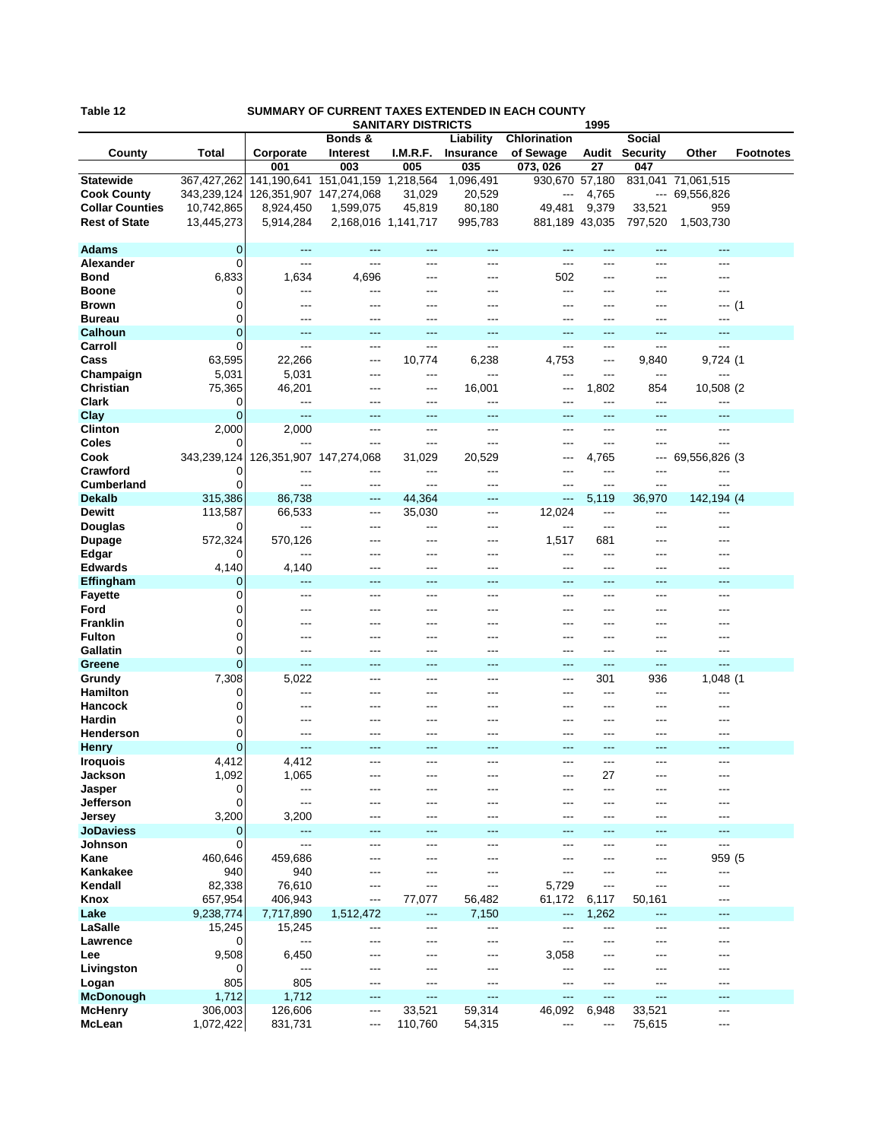| Table 12<br>SUMMARY OF CURRENT TAXES EXTENDED IN EACH COUNTY<br><b>SANITARY DISTRICTS</b><br>1995 |                |                             |                                         |          |                               |                           |                          |                                  |                    |                  |
|---------------------------------------------------------------------------------------------------|----------------|-----------------------------|-----------------------------------------|----------|-------------------------------|---------------------------|--------------------------|----------------------------------|--------------------|------------------|
| County                                                                                            | Total          | Corporate                   | Bonds &<br><b>Interest</b>              | I.M.R.F. | Liability<br><b>Insurance</b> | Chlorination<br>of Sewage | Audit                    | <b>Social</b><br><b>Security</b> | Other              | <b>Footnotes</b> |
|                                                                                                   |                | 001                         | 003                                     | 005      | 035                           | 073, 026                  | 27                       | 047                              |                    |                  |
| <b>Statewide</b>                                                                                  | 367,427,262    |                             | 141, 190, 641 151, 041, 159 1, 218, 564 |          | 1,096,491                     | 930,670 57,180            |                          |                                  | 831,041 71,061,515 |                  |
| <b>Cook County</b>                                                                                | 343,239,124    | 126, 351, 907 147, 274, 068 |                                         | 31,029   | 20,529                        | ---                       | 4,765                    |                                  | --- 69,556,826     |                  |
| <b>Collar Counties</b>                                                                            | 10,742,865     | 8,924,450                   | 1,599,075                               | 45,819   | 80,180                        | 49,481                    | 9,379                    | 33,521                           | 959                |                  |
| <b>Rest of State</b>                                                                              |                | 5,914,284                   |                                         |          | 995,783                       | 881,189 43,035            |                          | 797,520                          | 1,503,730          |                  |
|                                                                                                   | 13,445,273     |                             | 2,168,016 1,141,717                     |          |                               |                           |                          |                                  |                    |                  |
|                                                                                                   |                |                             |                                         |          |                               |                           |                          |                                  |                    |                  |
| <b>Adams</b>                                                                                      | 0              | ---                         | ---                                     | ---      | ---                           | ---                       | ---                      | ---                              | ---                |                  |
| Alexander                                                                                         | $\Omega$       | $---$                       | ---                                     | $---$    | $---$                         | $---$                     | $---$                    | $---$                            | ---                |                  |
| <b>Bond</b>                                                                                       | 6,833          | 1,634                       | 4,696                                   |          | ---                           | 502                       | ---                      |                                  |                    |                  |
| <b>Boone</b>                                                                                      | 0              | ---                         | ---                                     | ---      | ---                           | ---                       | ---                      | ---                              | ---                |                  |
| <b>Brown</b>                                                                                      | 0              | ---                         | ---                                     |          | ---                           | ---                       |                          |                                  | ---                | (1)              |
| <b>Bureau</b>                                                                                     | 0              | ---                         | ---                                     | ---      | ---                           | ---                       | ---                      | ---                              | ---                |                  |
|                                                                                                   | $\mathbf 0$    | ---                         | ---                                     | $---$    | ---                           | $---$                     | $---$                    | $---$                            | ---                |                  |
| <b>Calhoun</b>                                                                                    |                |                             |                                         |          |                               |                           |                          |                                  |                    |                  |
| Carroll                                                                                           | 0              | $---$                       | ---                                     | ---      | ---                           | $\overline{a}$            | ---                      | ---                              | ---                |                  |
| Cass                                                                                              | 63,595         | 22,266                      | ---                                     | 10,774   | 6,238                         | 4,753                     | $---$                    | 9,840                            | 9,724 (1           |                  |
| Champaign                                                                                         | 5,031          | 5,031                       | ---                                     | ---      | ---                           | ---                       | ---                      | ---                              | ---                |                  |
| Christian                                                                                         | 75,365         | 46,201                      | ---                                     | ---      | 16,001                        | ---                       | 1,802                    | 854                              | 10,508 (2)         |                  |
| <b>Clark</b>                                                                                      | 0              | ---                         | ---                                     | $---$    | ---                           | $---$                     | $---$                    | $---$                            | ---                |                  |
| Clay                                                                                              | $\Omega$       | ---                         | ---                                     | ---      | ---                           | ---                       | ---                      | ---                              | ---                |                  |
|                                                                                                   |                |                             |                                         |          |                               |                           | ---                      |                                  |                    |                  |
| <b>Clinton</b>                                                                                    | 2,000          | 2,000                       | ---                                     | ---      | ---                           | ---                       |                          | ---                              | ---                |                  |
| Coles                                                                                             | 0              | ---                         | ---                                     | ---      | ---                           | ---                       | $---$                    | ---                              | ---                |                  |
| Cook                                                                                              | 343,239,124    |                             | 126, 351, 907 147, 274, 068             | 31,029   | 20,529                        | ---                       | 4,765                    | ---                              | 69,556,826 (3      |                  |
| Crawford                                                                                          | 0              | ---                         | ---                                     | $---$    | ---                           | ---                       | $---$                    | $---$                            | ---                |                  |
| <b>Cumberland</b>                                                                                 | $\Omega$       | ---                         | ---                                     | ---      | ---                           | ---                       | $---$                    | ---                              | ---                |                  |
| <b>Dekalb</b>                                                                                     | 315,386        | 86,738                      | ---                                     | 44,364   | ---                           | $---$                     | 5,119                    | 36,970                           | 142,194 (4         |                  |
| <b>Dewitt</b>                                                                                     | 113,587        | 66,533                      | ---                                     | 35,030   | ---                           | 12,024                    | $\overline{\phantom{a}}$ | ---                              | ---                |                  |
|                                                                                                   | 0              | ---                         | ---                                     | ---      | ---                           | $\overline{a}$            | $---$                    | ---                              |                    |                  |
| Douglas                                                                                           |                |                             |                                         |          |                               |                           |                          |                                  | ---                |                  |
| Dupage                                                                                            | 572,324        | 570,126                     | ---                                     | ---      | ---                           | 1,517                     | 681                      | ---                              |                    |                  |
| Edgar                                                                                             | 0              | ---                         | ---                                     | ---      | ---                           | ---                       | ---                      | ---                              |                    |                  |
| <b>Edwards</b>                                                                                    | 4,140          | 4,140                       | ---                                     | ---      | ---                           | ---                       | ---                      | ---                              | ---                |                  |
| Effingham                                                                                         | 0              | ---                         | ---                                     | ---      | ---                           | ---                       | ---                      | ---                              | ---                |                  |
| <b>Fayette</b>                                                                                    | 0              | ---                         | ---                                     | ---      | ---                           | ---                       | ---                      | ---                              | ---                |                  |
| Ford                                                                                              | $\Omega$       | ---                         | ---                                     | ---      | ---                           | ---                       | ---                      | ---                              | ---                |                  |
| <b>Franklin</b>                                                                                   | 0              |                             |                                         |          | ---                           | ---                       | ---                      |                                  |                    |                  |
|                                                                                                   |                | ---                         | ---                                     |          |                               |                           |                          |                                  |                    |                  |
| <b>Fulton</b>                                                                                     | 0              | ---                         | ---                                     | ---      | ---                           | ---                       | ---                      | ---                              | ---                |                  |
| Gallatin                                                                                          | 0              | ---                         | ---                                     | ---      | ---                           | ---                       | ---                      | ---                              | ---                |                  |
| Greene                                                                                            | $\Omega$       | ---                         | ---                                     | ---      | ---                           | ---                       | ---                      | ---                              | ---                |                  |
| Grundy                                                                                            | 7,308          | 5,022                       | ---                                     | $---$    | ---                           | $---$                     | 301                      | 936                              | 1,048 (1           |                  |
| <b>Hamilton</b>                                                                                   | 0              | ---                         |                                         |          | ---                           | ---                       | ---                      | ---                              | ---                |                  |
| <b>Hancock</b>                                                                                    | 0              | ---                         | ---                                     | ---      | ---                           | ---                       | ---                      | ---                              | ---                |                  |
| Hardin                                                                                            | 0              |                             |                                         |          |                               |                           |                          |                                  |                    |                  |
| Henderson                                                                                         | 0              | ---                         | ---                                     |          | ---                           | ---                       | ---                      | ---                              | ---                |                  |
|                                                                                                   |                |                             |                                         |          |                               |                           |                          |                                  |                    |                  |
| <b>Henry</b>                                                                                      | 0              |                             |                                         |          |                               | ---                       |                          |                                  |                    |                  |
| <b>Iroquois</b>                                                                                   | 4,412          | 4,412                       | ---                                     | ---      | ---                           | ---                       | $---$                    | ---                              | ---                |                  |
| Jackson                                                                                           | 1,092          | 1,065                       | ---                                     | ---      | ---                           | ---                       | 27                       | ---                              | ---                |                  |
| Jasper                                                                                            | 0              | ---                         |                                         |          | ---                           | ---                       | ---                      |                                  |                    |                  |
| Jefferson                                                                                         | 0              | ---                         | ---                                     |          | ---                           | ---                       | ---                      |                                  |                    |                  |
| Jersey                                                                                            | 3,200          | 3,200                       | ---                                     | ---      | ---                           | ---                       | ---                      | ---                              | ---                |                  |
| <b>JoDaviess</b>                                                                                  | $\overline{0}$ | ---                         | ---                                     |          | ---                           | ---                       |                          | ---                              | ---                |                  |
| Johnson                                                                                           | 0              | $---$                       | ---                                     | ---      | ---                           | ---                       | ---                      | ---                              | $---$              |                  |
|                                                                                                   |                |                             |                                         |          |                               |                           |                          |                                  | 959 (5             |                  |
| Kane                                                                                              | 460,646        | 459,686                     |                                         |          | ---                           | ---                       |                          |                                  |                    |                  |
| Kankakee                                                                                          | 940            | 940                         | ---                                     | ---      | ---                           | ---                       | ---                      | ---                              | ---                |                  |
| Kendall                                                                                           | 82,338         | 76,610                      | ---                                     | ---      | ---                           | 5,729                     | $---$                    | ---                              | ---                |                  |
| Knox                                                                                              | 657,954        | 406,943                     | ---                                     | 77,077   | 56,482                        | 61,172                    | 6,117                    | 50,161                           | ---                |                  |
| Lake                                                                                              | 9,238,774      | 7,717,890                   | 1,512,472                               | ---      | 7,150                         | ---                       | 1,262                    | ---                              | ---                |                  |
| LaSalle                                                                                           | 15,245         | 15,245                      | ---                                     | ---      | ---                           | ---                       | ---                      | ---                              | ---                |                  |
| Lawrence                                                                                          | 0              | $---$                       | ---                                     | ---      | ---                           | ---                       | ---                      | ---                              | ---                |                  |
|                                                                                                   |                | 6,450                       |                                         |          |                               |                           |                          |                                  |                    |                  |
| Lee                                                                                               | 9,508          |                             | ---                                     | ---      | ---                           | 3,058                     | ---                      | ---                              |                    |                  |
| Livingston                                                                                        | 0              | ---                         | ---                                     |          | ---                           | ---                       | ---                      |                                  | ---                |                  |
| Logan                                                                                             | 805            | 805                         | ---                                     | ---      | ---                           | $---$                     | ---                      |                                  | ---                |                  |
| <b>McDonough</b>                                                                                  | 1,712          | 1,712                       | ---                                     | ---      | ---                           | ---                       | ---                      | ---                              | ---                |                  |
| <b>McHenry</b>                                                                                    | 306,003        | 126,606                     | ---                                     | 33,521   | 59,314                        | 46,092                    | 6,948                    | 33,521                           | ---                |                  |
| McLean                                                                                            | 1,072,422      | 831,731                     | ---                                     | 110,760  | 54,315                        | ---                       | $\hspace{0.05cm} \ldots$ | 75,615                           | ---                |                  |